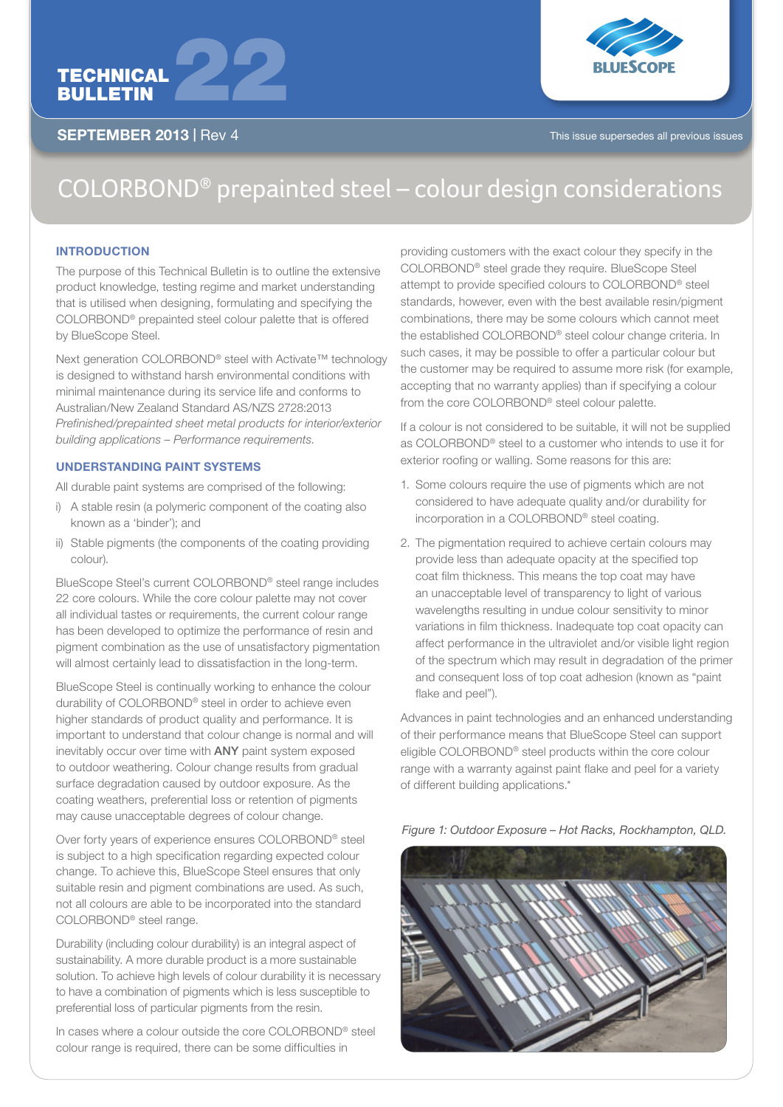

SEPTEMBER 2013 | Rev 4



# $COLORBOND<sup>®</sup>$  prepainted steel – colour design considerations

## **INTRODUCTION**

The purpose of this Technical Bulletin is to outline the extensive product knowledge, testing regime and market understanding that is utilised when designing, formulating and specifying the COLORBOND® prepainted steel colour palette that is offered by BlueScope Steel.

Next generation COLORBOND<sup>®</sup> steel with Activate<sup>™</sup> technology is designed to withstand harsh environmental conditions with minimal maintenance during its service life and conforms to Australian/New Zealand Standard AS/NZS 2728:2013 *Prefinished/prepainted sheet metal products for interior/exterior building applications – Performance requirements*.

# UNDERSTANDING PAINT SYSTEMS

All durable paint systems are comprised of the following:

- i) A stable resin (a polymeric component of the coating also known as a 'binder'); and
- ii) Stable pigments (the components of the coating providing colour).

BlueScope Steel's current COLORBOND® steel range includes 22 core colours. While the core colour palette may not cover all individual tastes or requirements, the current colour range has been developed to optimize the performance of resin and pigment combination as the use of unsatisfactory pigmentation will almost certainly lead to dissatisfaction in the long-term.

BlueScope Steel is continually working to enhance the colour durability of COLORBOND® steel in order to achieve even higher standards of product quality and performance. It is important to understand that colour change is normal and will inevitably occur over time with ANY paint system exposed to outdoor weathering. Colour change results from gradual surface degradation caused by outdoor exposure. As the coating weathers, preferential loss or retention of pigments may cause unacceptable degrees of colour change.

Over forty years of experience ensures COLORBOND® steel is subject to a high specification regarding expected colour change. To achieve this, BlueScope Steel ensures that only suitable resin and pigment combinations are used. As such, not all colours are able to be incorporated into the standard COLORBOND® steel range.

Durability (including colour durability) is an integral aspect of sustainability. A more durable product is a more sustainable solution. To achieve high levels of colour durability it is necessary to have a combination of pigments which is less susceptible to preferential loss of particular pigments from the resin.

In cases where a colour outside the core COLORBOND® steel colour range is required, there can be some difficulties in

providing customers with the exact colour they specify in the COLORBOND® steel grade they require. BlueScope Steel attempt to provide specified colours to COLORBOND® steel standards, however, even with the best available resin/pigment combinations, there may be some colours which cannot meet the established COLORBOND® steel colour change criteria. In such cases, it may be possible to offer a particular colour but the customer may be required to assume more risk (for example, accepting that no warranty applies) than if specifying a colour from the core COLORBOND® steel colour palette.

If a colour is not considered to be suitable, it will not be supplied as COLORBOND® steel to a customer who intends to use it for exterior roofing or walling. Some reasons for this are:

- 1. Some colours require the use of pigments which are not considered to have adequate quality and/or durability for incorporation in a COLORBOND® steel coating.
- 2. The pigmentation required to achieve certain colours may provide less than adequate opacity at the specified top coat film thickness. This means the top coat may have an unacceptable level of transparency to light of various wavelengths resulting in undue colour sensitivity to minor variations in film thickness. Inadequate top coat opacity can affect performance in the ultraviolet and/or visible light region of the spectrum which may result in degradation of the primer and consequent loss of top coat adhesion (known as "paint flake and peel").

Advances in paint technologies and an enhanced understanding of their performance means that BlueScope Steel can support eligible COLORBOND® steel products within the core colour range with a warranty against paint flake and peel for a variety of different building applications.\*

*Figure 1: Outdoor Exposure – Hot Racks, Rockhampton, QLD.*